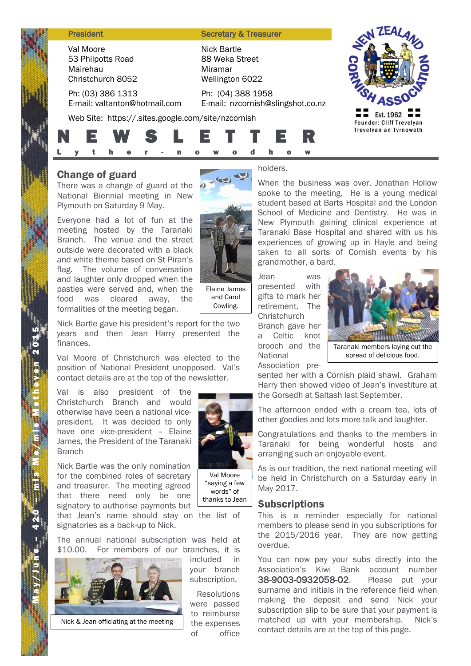#### **President Secretary & Treasurer**

Val Moore 53 Philpotts Road Mairehau Christchurch 8052

Ph: (03) 386 1313 E-mail: valtanton@hotmail.com

Web Site: https://.sites.google.com/site/nzcornish





## Change of guard

There was a change of guard at the National Biennial meeting in New Plymouth on Saturday 9 May.

Everyone had a lot of fun at the meeting hosted by the Taranaki Branch. The venue and the street outside were decorated with a black and white theme based on St Piran's flag. The volume of conversation and laughter only dropped when the pasties were served and, when the food was cleared away, the formalities of the meeting began.



Nick Bartle 88 Weka Street

Wellington 6022 Ph: (04) 388 1958

Miramar

Elaine James and Carol Cowling.

Nick Bartle gave his president's report for the two years and then Jean Harry presented the finances.

Val Moore of Christchurch was elected to the position of National President unopposed. Val's contact details are at the top of the newsletter.

Val is also president of the Christchurch Branch and would otherwise have been a national vicepresident. It was decided to only have one vice-president – Elaine James, the President of the Taranaki **Branch** 

Nick Bartle was the only nomination for the combined roles of secretary and treasurer. The meeting agreed that there need only be one signatory to authorise payments but that Jean's name should stay on the list of signatories as a back-up to Nick.

The annual national subscription was held at \$10.00. For members of our branches, it is



Val Moore

"saying a few words" of thanks to Jean

included in your branch subscription.

Resolutions were passed to reimburse the expenses of office

holders.

E-mail: nzcornish@slingshot.co.nz

When the business was over, Jonathan Hollow spoke to the meeting. He is a young medical student based at Barts Hospital and the London School of Medicine and Dentistry. He was in New Plymouth gaining clinical experience at Taranaki Base Hospital and shared with us his experiences of growing up in Hayle and being taken to all sorts of Cornish events by his grandmother, a bard.

Jean was presented with gifts to mark her retirement. The **Christchurch** Branch gave her a Celtic knot brooch and the **National** Association pre-



spread of delicious food.

sented her with a Cornish plaid shawl. Graham Harry then showed video of Jean's investiture at the Gorsedh at Saltash last September.

The afternoon ended with a cream tea, lots of other goodies and lots more talk and laughter.

Congratulations and thanks to the members in Taranaki for being wonderful hosts and arranging such an enjoyable event.

As is our tradition, the next national meeting will be held in Christchurch on a Saturday early in May 2017.

### *<u>Subscriptions</u>*

This is a reminder especially for national members to please send in you subscriptions for the 2015/2016 year. They are now getting overdue.

You can now pay your subs directly into the Association's Kiwi Bank account number 38-9003-0932058-02. Please put your surname and initials in the reference field when making the deposit and send Nick your subscription slip to be sure that your payment is matched up with your membership. Nick's contact details are at the top of this page.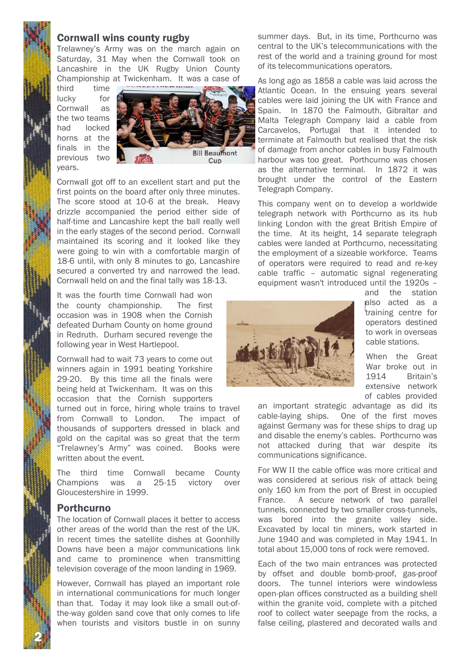### Cornwall wins county rugby

Trelawney's Army was on the march again on Saturday, 31 May when the Cornwall took on Lancashire in the UK Rugby Union County Championship at Twickenham. It was a case of

third time lucky for Cornwall as the two teams had locked horns at the finals in the previous two years.



Cornwall got off to an excellent start and put the first points on the board after only three minutes. The score stood at 10-6 at the break. Heavy drizzle accompanied the period either side of half-time and Lancashire kept the ball really well in the early stages of the second period. Cornwall maintained its scoring and it looked like they were going to win with a comfortable margin of 18-6 until, with only 8 minutes to go, Lancashire secured a converted try and narrowed the lead. Cornwall held on and the final tally was 18-13.

It was the fourth time Cornwall had won the county championship. The first occasion was in 1908 when the Cornish defeated Durham County on home ground in Redruth. Durham secured revenge the following year in West Hartlepool.

Cornwall had to wait 73 years to come out winners again in 1991 beating Yorkshire 29-20. By this time all the finals were being held at Twickenham. It was on this occasion that the Cornish supporters

turned out in force, hiring whole trains to travel from Cornwall to London. The impact of thousands of supporters dressed in black and gold on the capital was so great that the term "Trelawney's Army" was coined. Books were written about the event.

The third time Cornwall became County Champions was a 25-15 victory over Gloucestershire in 1999.

### **Porthcurno**

2 N

The location of Cornwall places it better to access other areas of the world than the rest of the UK. In recent times the satellite dishes at Goonhilly Downs have been a major communications link and came to prominence when transmitting television coverage of the moon landing in 1969.

However, Cornwall has played an important role in international communications for much longer than that. Today it may look like a small out-ofthe-way golden sand cove that only comes to life when tourists and visitors bustle in on sunny summer days. But, in its time, Porthcurno was central to the UK's telecommunications with the rest of the world and a training ground for most of its telecommunications operators.

As long ago as 1858 a cable was laid across the Atlantic Ocean. In the ensuing years several cables were laid joining the UK with France and Spain. In 1870 the Falmouth, Gibraltar and Malta Telegraph Company laid a cable from Carcavelos, Portugal that it intended to terminate at Falmouth but realised that the risk of damage from anchor cables in busy Falmouth harbour was too great. Porthcurno was chosen as the alternative terminal. In 1872 it was brought under the control of the Eastern Telegraph Company.

This company went on to develop a worldwide telegraph network with Porthcurno as its hub linking London with the great British Empire of the time. At its height, 14 separate telegraph cables were landed at Porthcurno, necessitating the employment of a sizeable workforce. Teams of operators were required to read and re-key cable traffic – automatic signal regenerating equipment wasn't introduced until the 1920s –



and the station also acted as a training centre for operators destined to work in overseas cable stations.

When the Great War broke out in 1914 Britain's extensive network of cables provided

an important strategic advantage as did its cable-laying ships. One of the first moves against Germany was for these ships to drag up and disable the enemy's cables. Porthcurno was not attacked during that war despite its communications significance.

For WW II the cable office was more critical and was considered at serious risk of attack being only 160 km from the port of Brest in occupied France. A secure network of two parallel tunnels, connected by two smaller cross-tunnels, was bored into the granite valley side. Excavated by local tin miners, work started in June 1940 and was completed in May 1941. In total about 15,000 tons of rock were removed.

Each of the two main entrances was protected by offset and double bomb-proof, gas-proof doors. The tunnel interiors were windowless open-plan offices constructed as a building shell within the granite void, complete with a pitched roof to collect water seepage from the rocks, a false ceiling, plastered and decorated walls and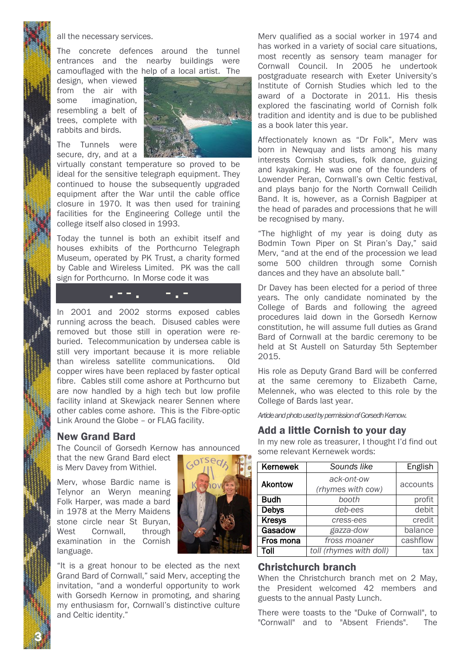

all the necessary services.

The concrete defences around the tunnel entrances and the nearby buildings were camouflaged with the help of a local artist. The

design, when viewed from the air with some imagination, resembling a belt of trees, complete with rabbits and birds.

The Tunnels were secure, dry, and at a



virtually constant temperature so proved to be ideal for the sensitive telegraph equipment. They continued to house the subsequently upgraded equipment after the War until the cable office closure in 1970. It was then used for training facilities for the Engineering College until the college itself also closed in 1993.

Today the tunnel is both an exhibit itself and houses exhibits of the Porthcurno Telegraph Museum, operated by PK Trust, a charity formed by Cable and Wireless Limited. PK was the call sign for Porthcurno. In Morse code it was

. - - . - . -

In 2001 and 2002 storms exposed cables running across the beach. Disused cables were removed but those still in operation were reburied. Telecommunication by undersea cable is still very important because it is more reliable than wireless satellite communications. Old copper wires have been replaced by faster optical fibre. Cables still come ashore at Porthcurno but are now handled by a high tech but low profile facility inland at Skewjack nearer Sennen where other cables come ashore. This is the Fibre-optic Link Around the Globe – or FLAG facility.

### New Grand Bard

The Council of Gorsedh Kernow has announced

that the new Grand Bard elect is Merv Davey from Withiel.

Merv, whose Bardic name is Telynor an Weryn meaning Folk Harper, was made a bard in 1978 at the Merry Maidens stone circle near St Buryan, West Cornwall, through examination in the Cornish language.



"It is a great honour to be elected as the next Grand Bard of Cornwall," said Merv, accepting the invitation, "and a wonderful opportunity to work with Gorsedh Kernow in promoting, and sharing my enthusiasm for, Cornwall's distinctive culture and Celtic identity."

Merv qualified as a social worker in 1974 and has worked in a variety of social care situations, most recently as sensory team manager for Cornwall Council. In 2005 he undertook postgraduate research with Exeter University's Institute of Cornish Studies which led to the award of a Doctorate in 2011. His thesis explored the fascinating world of Cornish folk tradition and identity and is due to be published as a book later this year.

Affectionately known as "Dr Folk", Merv was born in Newquay and lists among his many interests Cornish studies, folk dance, guizing and kayaking. He was one of the founders of Lowender Peran, Cornwall's own Celtic festival, and plays banjo for the North Cornwall Ceilidh Band. It is, however, as a Cornish Bagpiper at the head of parades and processions that he will be recognised by many.

"The highlight of my year is doing duty as Bodmin Town Piper on St Piran's Day," said Merv, "and at the end of the procession we lead some 500 children through some Cornish dances and they have an absolute ball."

Dr Davey has been elected for a period of three years. The only candidate nominated by the College of Bards and following the agreed procedures laid down in the Gorsedh Kernow constitution, he will assume full duties as Grand Bard of Cornwall at the bardic ceremony to be held at St Austell on Saturday 5th September 2015.

His role as Deputy Grand Bard will be conferred at the same ceremony to Elizabeth Carne, Melennek, who was elected to this role by the College of Bards last year.

*Article and photo used by permission of Gorsedh Kernow.*

### Add a little Cornish to your day

In my new role as treasurer, I thought I'd find out some relevant Kernewek words:

| Kernewek       | Sounds like                     | English  |
|----------------|---------------------------------|----------|
| <b>Akontow</b> | ack-ont-ow<br>(rhymes with cow) | accounts |
| <b>Budh</b>    | booth                           | profit   |
| <b>Debys</b>   | deb-ees                         | debit    |
| <b>Kresys</b>  | cress-ees                       | credit   |
| Gasadow        | gazza-dow                       | balance  |
| Fros mona      | fross moaner                    | cashflow |
| Toll           | toll (rhymes with doll)         | tax      |

### Christchurch branch

When the Christchurch branch met on 2 May, the President welcomed 42 members and guests to the annual Pasty Lunch.

There were toasts to the "Duke of Cornwall", to "Cornwall" and to "Absent Friends". The